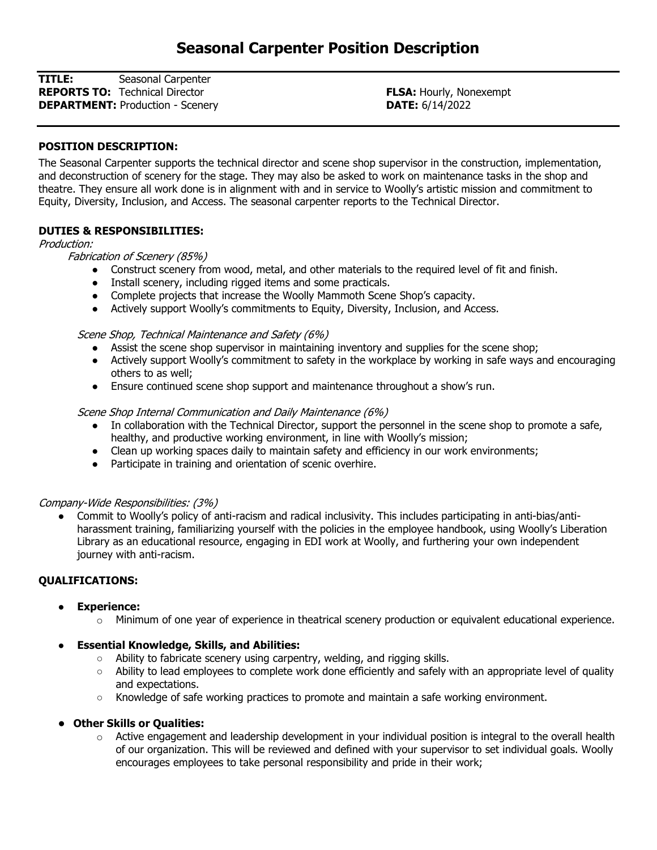TITLE: Seasonal Carpenter **REPORTS TO:** Technical Director **FLSA:** Hourly, Nonexempt **DEPARTMENT:** Production - Scenery **DEPARTMENT:** Production - Scenery

## POSITION DESCRIPTION:

The Seasonal Carpenter supports the technical director and scene shop supervisor in the construction, implementation, and deconstruction of scenery for the stage. They may also be asked to work on maintenance tasks in the shop and theatre. They ensure all work done is in alignment with and in service to Woolly's artistic mission and commitment to Equity, Diversity, Inclusion, and Access. The seasonal carpenter reports to the Technical Director.

### DUTIES & RESPONSIBILITIES:

Production:

Fabrication of Scenery (85%)

- Construct scenery from wood, metal, and other materials to the required level of fit and finish.
- Install scenery, including rigged items and some practicals.
- Complete projects that increase the Woolly Mammoth Scene Shop's capacity.
- Actively support Woolly's commitments to Equity, Diversity, Inclusion, and Access.

Scene Shop, Technical Maintenance and Safety (6%)

- Assist the scene shop supervisor in maintaining inventory and supplies for the scene shop;
- Actively support Woolly's commitment to safety in the workplace by working in safe ways and encouraging others to as well;
- Ensure continued scene shop support and maintenance throughout a show's run.

#### Scene Shop Internal Communication and Daily Maintenance (6%)

- In collaboration with the Technical Director, support the personnel in the scene shop to promote a safe, healthy, and productive working environment, in line with Woolly's mission;
- Clean up working spaces daily to maintain safety and efficiency in our work environments;
- Participate in training and orientation of scenic overhire.

### Company-Wide Responsibilities: (3%)

● Commit to Woolly's policy of anti-racism and radical inclusivity. This includes participating in anti-bias/antiharassment training, familiarizing yourself with the policies in the employee handbook, using Woolly's Liberation Library as an educational resource, engaging in EDI work at Woolly, and furthering your own independent journey with anti-racism.

### QUALIFICATIONS:

- **Experience:** 
	- o Minimum of one year of experience in theatrical scenery production or equivalent educational experience.

### **Essential Knowledge, Skills, and Abilities:**

- Ability to fabricate scenery using carpentry, welding, and rigging skills.
- Ability to lead employees to complete work done efficiently and safely with an appropriate level of quality and expectations.
- Knowledge of safe working practices to promote and maintain a safe working environment.
- Other Skills or Qualities:
	- $\circ$  Active engagement and leadership development in your individual position is integral to the overall health of our organization. This will be reviewed and defined with your supervisor to set individual goals. Woolly encourages employees to take personal responsibility and pride in their work;